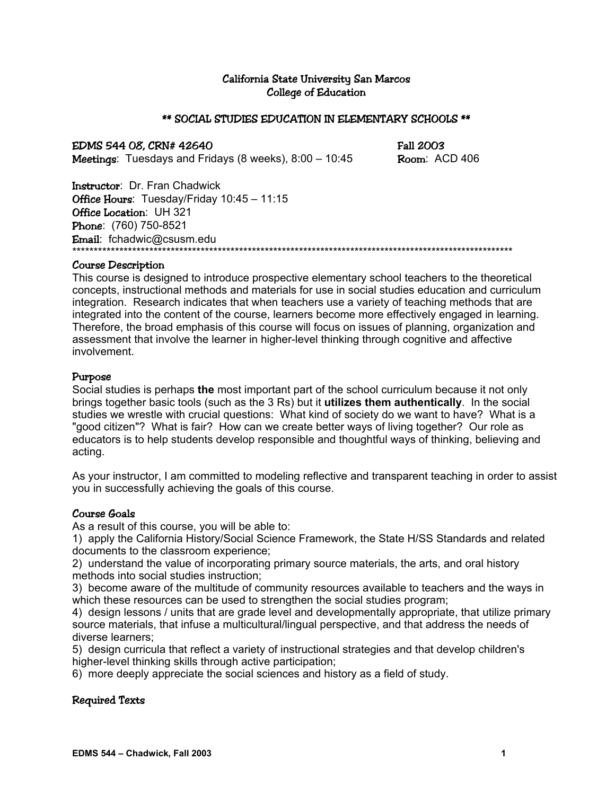## California State University San Marcos College of Education

## \*\* SOCIAL STUDIES EDUCATION IN ELEMENTARY SCHOOLS \*\*

EDMS 544 08, CRN# 42640 Fall 2003 **Meetings:** Tuesdays and Fridays  $(8 \text{ weeks})$ ,  $8:00 - 10:45$  Room: ACD 406

Instructor: Dr. Fran Chadwick Office Hours: Tuesday/Friday 10:45 - 11:15 Office Location: UH 321 Phone: (760) 750-8521 Email: fchadwic@csusm.edu \*\*\*\*\*\*\*\*\*\*\*\*\*\*\*\*\*\*\*\*\*\*\*\*\*\*\*\*\*\*\*\*\*\*\*\*\*\*\*\*\*\*\*\*\*\*\*\*\*\*\*\*\*\*\*\*\*\*\*\*\*\*\*\*\*\*\*\*\*\*\*\*\*\*\*\*\*\*\*\*\*\*\*\*\*\*\*\*\*\*\*\*\*\*\*\*\*\*\*\*\*\*\*

#### Course Description

This course is designed to introduce prospective elementary school teachers to the theoretical concepts, instructional methods and materials for use in social studies education and curriculum integration. Research indicates that when teachers use a variety of teaching methods that are integrated into the content of the course, learners become more effectively engaged in learning. Therefore, the broad emphasis of this course will focus on issues of planning, organization and assessment that involve the learner in higher-level thinking through cognitive and affective involvement.

#### Purpose

Social studies is perhaps **the** most important part of the school curriculum because it not only brings together basic tools (such as the 3 Rs) but it **utilizes them authentically**. In the social studies we wrestle with crucial questions: What kind of society do we want to have? What is a "good citizen"? What is fair? How can we create better ways of living together? Our role as educators is to help students develop responsible and thoughtful ways of thinking, believing and acting.

As your instructor, I am committed to modeling reflective and transparent teaching in order to assist you in successfully achieving the goals of this course.

## Course Goals

As a result of this course, you will be able to:

1) apply the California History/Social Science Framework, the State H/SS Standards and related documents to the classroom experience;

2) understand the value of incorporating primary source materials, the arts, and oral history methods into social studies instruction;

3) become aware of the multitude of community resources available to teachers and the ways in which these resources can be used to strengthen the social studies program;

4) design lessons / units that are grade level and developmentally appropriate, that utilize primary source materials, that infuse a multicultural/lingual perspective, and that address the needs of diverse learners;

5) design curricula that reflect a variety of instructional strategies and that develop children's higher-level thinking skills through active participation;

6) more deeply appreciate the social sciences and history as a field of study.

## Required Texts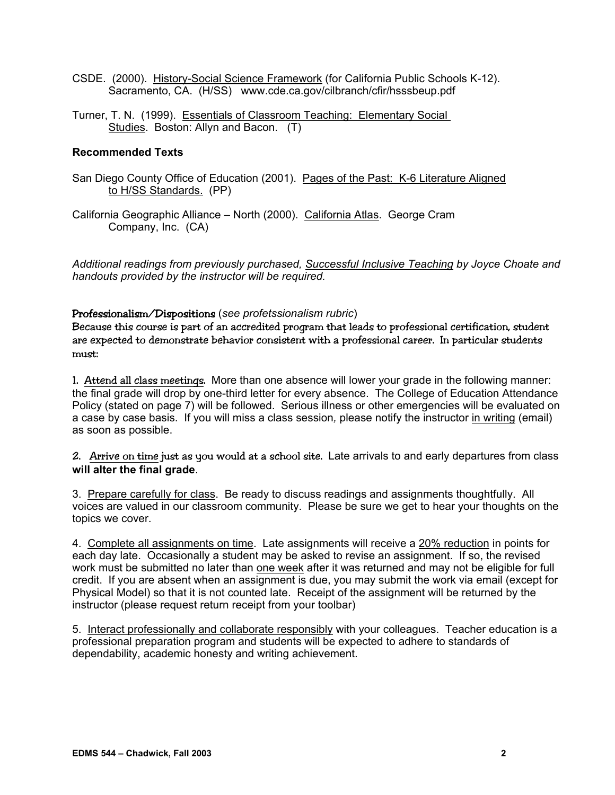- CSDE. (2000). History-Social Science Framework (for California Public Schools K-12). Sacramento, CA. (H/SS) www.cde.ca.gov/cilbranch/cfir/hsssbeup.pdf
- Turner, T. N. (1999). Essentials of Classroom Teaching: Elementary Social Studies. Boston: Allyn and Bacon. (T)

## **Recommended Texts**

- San Diego County Office of Education (2001). Pages of the Past: K-6 Literature Aligned to H/SS Standards. (PP)
- California Geographic Alliance North (2000). California Atlas. George Cram Company, Inc. (CA)

*Additional readings from previously purchased, Successful Inclusive Teaching by Joyce Choate and handouts provided by the instructor will be required.* 

## Professionalism/Dispositions (*see profetssionalism rubric*)

Because this course is part of an accredited program that leads to professional certification, student are expected to demonstrate behavior consistent with a professional career. In particular students must:

1. Attend all class meetings. More than one absence will lower your grade in the following manner: the final grade will drop by one-third letter for every absence. The College of Education Attendance Policy (stated on page 7) will be followed. Serious illness or other emergencies will be evaluated on a case by case basis. If you will miss a class session*,* please notify the instructor in writing (email) as soon as possible.

2. Arrive on time just as you would at a school site. Late arrivals to and early departures from class **will alter the final grade**.

3. Prepare carefully for class. Be ready to discuss readings and assignments thoughtfully. All voices are valued in our classroom community. Please be sure we get to hear your thoughts on the topics we cover.

4. Complete all assignments on time. Late assignments will receive a 20% reduction in points for each day late. Occasionally a student may be asked to revise an assignment. If so, the revised work must be submitted no later than one week after it was returned and may not be eligible for full credit. If you are absent when an assignment is due, you may submit the work via email (except for Physical Model) so that it is not counted late. Receipt of the assignment will be returned by the instructor (please request return receipt from your toolbar)

5. Interact professionally and collaborate responsibly with your colleagues. Teacher education is a professional preparation program and students will be expected to adhere to standards of dependability, academic honesty and writing achievement.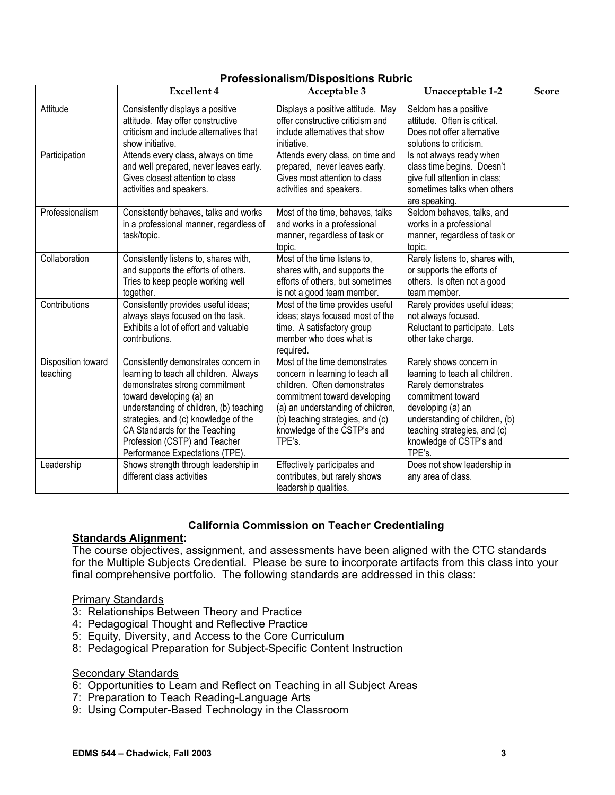|                                | <b>Excellent 4</b>                                                                                                                                                                                                                                                                                                                   | Acceptable 3                                                                                                                                                                                                                                        | Unacceptable 1-2                                                                                                                                                                                                                   | <b>Score</b> |
|--------------------------------|--------------------------------------------------------------------------------------------------------------------------------------------------------------------------------------------------------------------------------------------------------------------------------------------------------------------------------------|-----------------------------------------------------------------------------------------------------------------------------------------------------------------------------------------------------------------------------------------------------|------------------------------------------------------------------------------------------------------------------------------------------------------------------------------------------------------------------------------------|--------------|
| Attitude                       | Consistently displays a positive<br>attitude. May offer constructive<br>criticism and include alternatives that<br>show initiative.                                                                                                                                                                                                  | Displays a positive attitude. May<br>offer constructive criticism and<br>include alternatives that show<br>initiative.                                                                                                                              | Seldom has a positive<br>attitude. Often is critical.<br>Does not offer alternative<br>solutions to criticism.                                                                                                                     |              |
| Participation                  | Attends every class, always on time<br>and well prepared, never leaves early.<br>Gives closest attention to class<br>activities and speakers.                                                                                                                                                                                        | Attends every class, on time and<br>prepared, never leaves early.<br>Gives most attention to class<br>activities and speakers.                                                                                                                      | Is not always ready when<br>class time begins. Doesn't<br>give full attention in class;<br>sometimes talks when others<br>are speaking.                                                                                            |              |
| Professionalism                | Consistently behaves, talks and works<br>in a professional manner, regardless of<br>task/topic.                                                                                                                                                                                                                                      | Most of the time, behaves, talks<br>and works in a professional<br>manner, regardless of task or<br>topic.                                                                                                                                          | Seldom behaves, talks, and<br>works in a professional<br>manner, regardless of task or<br>topic.                                                                                                                                   |              |
| Collaboration                  | Consistently listens to, shares with,<br>and supports the efforts of others.<br>Tries to keep people working well<br>together.                                                                                                                                                                                                       | Most of the time listens to,<br>shares with, and supports the<br>efforts of others, but sometimes<br>is not a good team member.                                                                                                                     | Rarely listens to, shares with,<br>or supports the efforts of<br>others. Is often not a good<br>team member.                                                                                                                       |              |
| Contributions                  | Consistently provides useful ideas;<br>always stays focused on the task.<br>Exhibits a lot of effort and valuable<br>contributions.                                                                                                                                                                                                  | Most of the time provides useful<br>ideas; stays focused most of the<br>time. A satisfactory group<br>member who does what is<br>required.                                                                                                          | Rarely provides useful ideas;<br>not always focused.<br>Reluctant to participate. Lets<br>other take charge.                                                                                                                       |              |
| Disposition toward<br>teaching | Consistently demonstrates concern in<br>learning to teach all children. Always<br>demonstrates strong commitment<br>toward developing (a) an<br>understanding of children, (b) teaching<br>strategies, and (c) knowledge of the<br>CA Standards for the Teaching<br>Profession (CSTP) and Teacher<br>Performance Expectations (TPE). | Most of the time demonstrates<br>concern in learning to teach all<br>children. Often demonstrates<br>commitment toward developing<br>(a) an understanding of children,<br>(b) teaching strategies, and (c)<br>knowledge of the CSTP's and<br>TPE's. | Rarely shows concern in<br>learning to teach all children.<br>Rarely demonstrates<br>commitment toward<br>developing (a) an<br>understanding of children, (b)<br>teaching strategies, and (c)<br>knowledge of CSTP's and<br>TPE's. |              |
| Leadership                     | Shows strength through leadership in<br>different class activities                                                                                                                                                                                                                                                                   | Effectively participates and<br>contributes, but rarely shows<br>leadership qualities.                                                                                                                                                              | Does not show leadership in<br>any area of class.                                                                                                                                                                                  |              |

## **Professionalism/Dispositions Rubric**

## **California Commission on Teacher Credentialing**

## **Standards Alignment:**

The course objectives, assignment, and assessments have been aligned with the CTC standards for the Multiple Subjects Credential. Please be sure to incorporate artifacts from this class into your final comprehensive portfolio. The following standards are addressed in this class:

## Primary Standards

- 3: Relationships Between Theory and Practice
- 4: Pedagogical Thought and Reflective Practice
- 5: Equity, Diversity, and Access to the Core Curriculum
- 8: Pedagogical Preparation for Subject-Specific Content Instruction

## **Secondary Standards**

- 6: Opportunities to Learn and Reflect on Teaching in all Subject Areas
- 7: Preparation to Teach Reading-Language Arts
- 9: Using Computer-Based Technology in the Classroom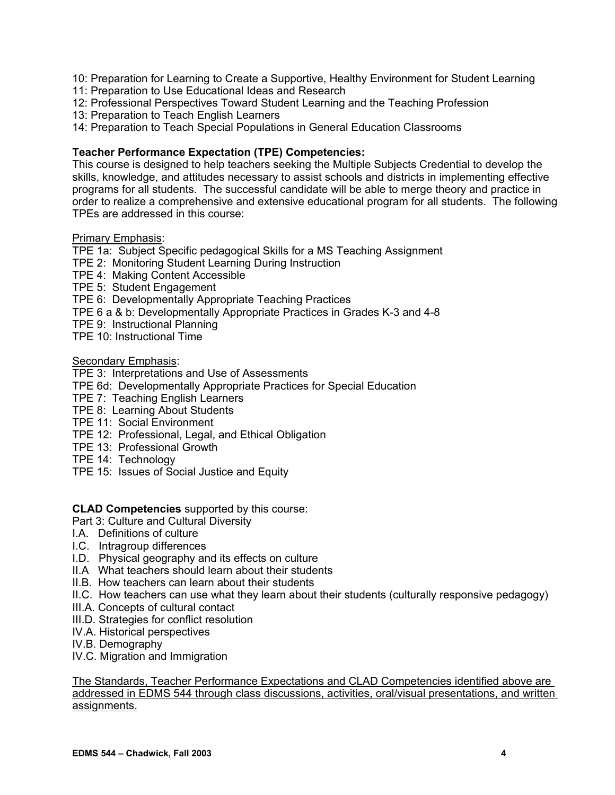- 10: Preparation for Learning to Create a Supportive, Healthy Environment for Student Learning
- 11: Preparation to Use Educational Ideas and Research
- 12: Professional Perspectives Toward Student Learning and the Teaching Profession
- 13: Preparation to Teach English Learners
- 14: Preparation to Teach Special Populations in General Education Classrooms

## **Teacher Performance Expectation (TPE) Competencies:**

This course is designed to help teachers seeking the Multiple Subjects Credential to develop the skills, knowledge, and attitudes necessary to assist schools and districts in implementing effective programs for all students. The successful candidate will be able to merge theory and practice in order to realize a comprehensive and extensive educational program for all students. The following TPEs are addressed in this course:

## Primary Emphasis:

TPE 1a: Subject Specific pedagogical Skills for a MS Teaching Assignment

- TPE 2: Monitoring Student Learning During Instruction
- TPE 4: Making Content Accessible
- TPE 5: Student Engagement

TPE 6: Developmentally Appropriate Teaching Practices

- TPE 6 a & b: Developmentally Appropriate Practices in Grades K-3 and 4-8
- TPE 9: Instructional Planning
- TPE 10: Instructional Time

## Secondary Emphasis:

## TPE 3: Interpretations and Use of Assessments

- TPE 6d: Developmentally Appropriate Practices for Special Education
- TPE 7: Teaching English Learners
- TPE 8: Learning About Students
- TPE 11: Social Environment
- TPE 12: Professional, Legal, and Ethical Obligation
- TPE 13: Professional Growth
- TPE 14: Technology
- TPE 15: Issues of Social Justice and Equity

## **CLAD Competencies** supported by this course:

- Part 3: Culture and Cultural Diversity
- I.A. Definitions of culture
- I.C. Intragroup differences
- I.D. Physical geography and its effects on culture
- II.A What teachers should learn about their students
- II.B. How teachers can learn about their students
- II.C. How teachers can use what they learn about their students (culturally responsive pedagogy)
- III.A. Concepts of cultural contact
- III.D. Strategies for conflict resolution
- IV.A. Historical perspectives
- IV.B. Demography
- IV.C. Migration and Immigration

The Standards, Teacher Performance Expectations and CLAD Competencies identified above are addressed in EDMS 544 through class discussions, activities, oral/visual presentations, and written assignments.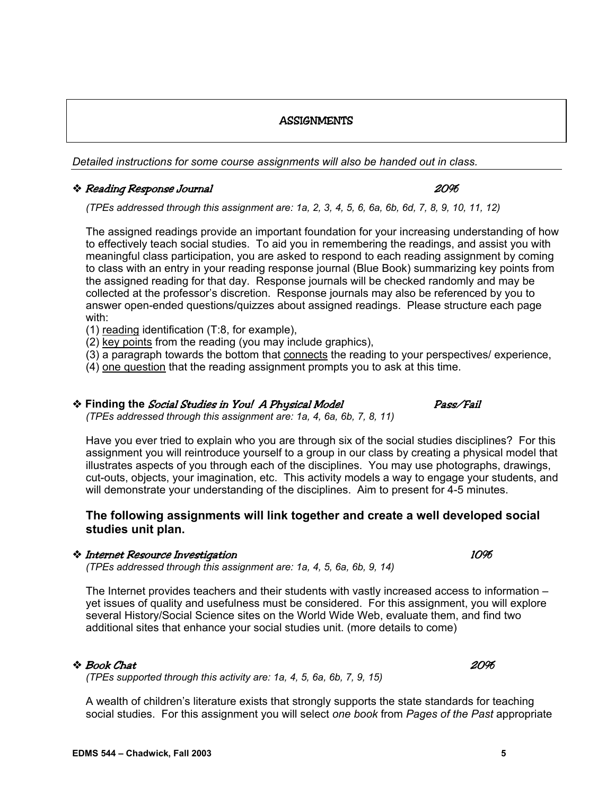## **ASSIGNMENTS**

*Detailed instructions for some course assignments will also be handed out in class.* 

## Reading Response Journal 20%

*(TPEs addressed through this assignment are: 1a, 2, 3, 4, 5, 6, 6a, 6b, 6d, 7, 8, 9, 10, 11, 12)* 

The assigned readings provide an important foundation for your increasing understanding of how to effectively teach social studies. To aid you in remembering the readings, and assist you with meaningful class participation, you are asked to respond to each reading assignment by coming to class with an entry in your reading response journal (Blue Book) summarizing key points from the assigned reading for that day. Response journals will be checked randomly and may be collected at the professor's discretion. Response journals may also be referenced by you to answer open-ended questions/quizzes about assigned readings. Please structure each page with:

- (1) reading identification (T:8, for example),
- (2) key points from the reading (you may include graphics),
- (3) a paragraph towards the bottom that connects the reading to your perspectives/ experience,
- (4) one question that the reading assignment prompts you to ask at this time.

# **Finding the** Social Studies in You! A Physical Model Pass/Fail

*(TPEs addressed through this assignment are: 1a, 4, 6a, 6b, 7, 8, 11)* 

Have you ever tried to explain who you are through six of the social studies disciplines? For this assignment you will reintroduce yourself to a group in our class by creating a physical model that illustrates aspects of you through each of the disciplines. You may use photographs, drawings, cut-outs, objects, your imagination, etc. This activity models a way to engage your students, and will demonstrate your understanding of the disciplines. Aim to present for 4-5 minutes.

## **The following assignments will link together and create a well developed social studies unit plan.**

## Internet Resource Investigation 10%

*(TPEs addressed through this assignment are: 1a, 4, 5, 6a, 6b, 9, 14)* 

The Internet provides teachers and their students with vastly increased access to information – yet issues of quality and usefulness must be considered. For this assignment, you will explore several History/Social Science sites on the World Wide Web, evaluate them, and find two additional sites that enhance your social studies unit. (more details to come)

## $\approx$  Book Chat  $20\%$

*(TPEs supported through this activity are: 1a, 4, 5, 6a, 6b, 7, 9, 15)* 

A wealth of children's literature exists that strongly supports the state standards for teaching social studies. For this assignment you will select *one book* from *Pages of the Past* appropriate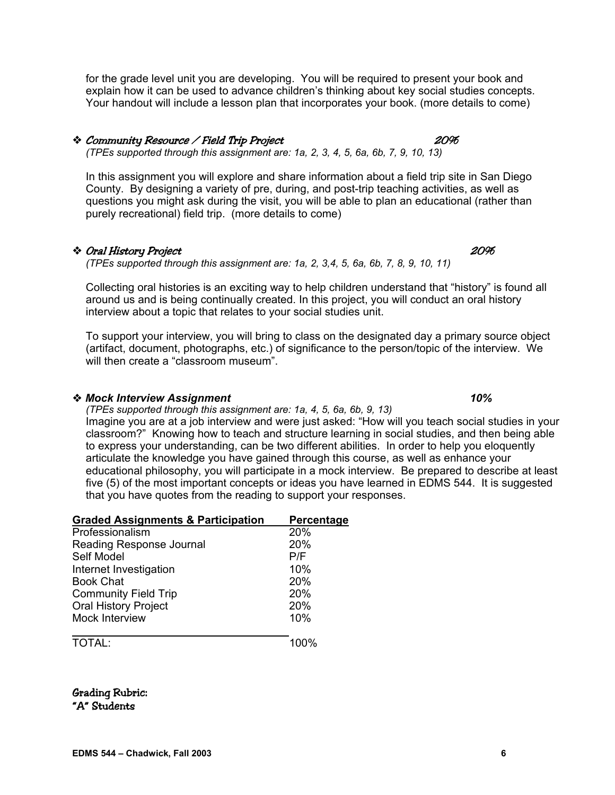for the grade level unit you are developing. You will be required to present your book and explain how it can be used to advance children's thinking about key social studies concepts. Your handout will include a lesson plan that incorporates your book. (more details to come)

## Community Resource / Field Trip Project 20%

*(TPEs supported through this assignment are: 1a, 2, 3, 4, 5, 6a, 6b, 7, 9, 10, 13)* 

In this assignment you will explore and share information about a field trip site in San Diego County. By designing a variety of pre, during, and post-trip teaching activities, as well as questions you might ask during the visit, you will be able to plan an educational (rather than purely recreational) field trip. (more details to come)

## Oral History Project 20%

*(TPEs supported through this assignment are: 1a, 2, 3,4, 5, 6a, 6b, 7, 8, 9, 10, 11)* 

Collecting oral histories is an exciting way to help children understand that "history" is found all around us and is being continually created. In this project, you will conduct an oral history interview about a topic that relates to your social studies unit.

To support your interview, you will bring to class on the designated day a primary source object (artifact, document, photographs, etc.) of significance to the person/topic of the interview. We will then create a "classroom museum"

## *Mock Interview Assignment* 10%

*(TPEs supported through this assignment are: 1a, 4, 5, 6a, 6b, 9, 13)* 

Imagine you are at a job interview and were just asked: "How will you teach social studies in your classroom?" Knowing how to teach and structure learning in social studies, and then being able to express your understanding, can be two different abilities. In order to help you eloquently articulate the knowledge you have gained through this course, as well as enhance your educational philosophy, you will participate in a mock interview. Be prepared to describe at least five (5) of the most important concepts or ideas you have learned in EDMS 544. It is suggested that you have quotes from the reading to support your responses.

| <b>Graded Assignments &amp; Participation</b> | Percentage |
|-----------------------------------------------|------------|
| Professionalism                               | 20%        |
| Reading Response Journal                      | 20%        |
| Self Model                                    | P/F        |
| Internet Investigation                        | 10%        |
| <b>Book Chat</b>                              | 20%        |
| <b>Community Field Trip</b>                   | 20%        |
| <b>Oral History Project</b>                   | 20%        |
| Mock Interview                                | 10%        |
|                                               | 100%       |

Grading Rubric: "A" Students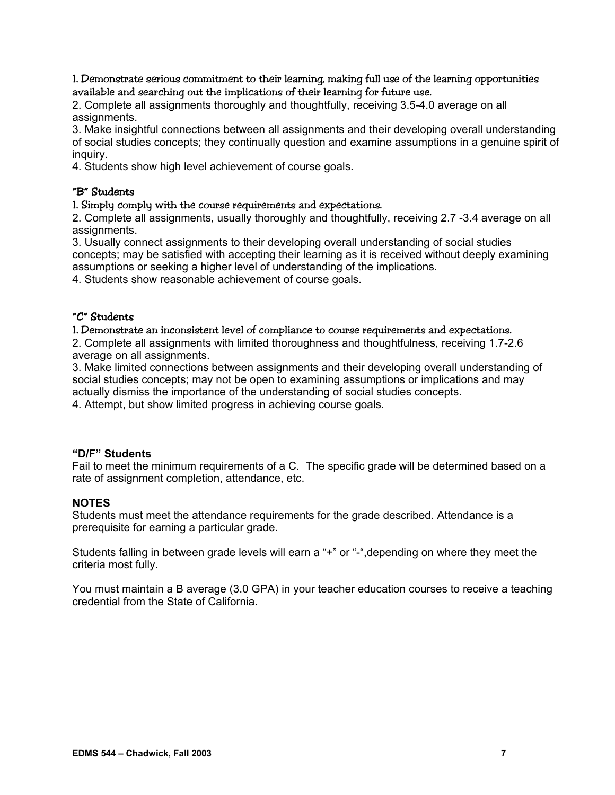1. Demonstrate serious commitment to their learning, making full use of the learning opportunities available and searching out the implications of their learning for future use.

2. Complete all assignments thoroughly and thoughtfully, receiving 3.5-4.0 average on all assignments.

3. Make insightful connections between all assignments and their developing overall understanding of social studies concepts; they continually question and examine assumptions in a genuine spirit of inquiry.

4. Students show high level achievement of course goals.

## "B" Students

1. Simply comply with the course requirements and expectations.

2. Complete all assignments, usually thoroughly and thoughtfully, receiving 2.7 -3.4 average on all assignments.

3. Usually connect assignments to their developing overall understanding of social studies concepts; may be satisfied with accepting their learning as it is received without deeply examining assumptions or seeking a higher level of understanding of the implications.

4. Students show reasonable achievement of course goals.

## "C" Students

1. Demonstrate an inconsistent level of compliance to course requirements and expectations. 2. Complete all assignments with limited thoroughness and thoughtfulness, receiving 1.7-2.6 average on all assignments.

3. Make limited connections between assignments and their developing overall understanding of social studies concepts; may not be open to examining assumptions or implications and may actually dismiss the importance of the understanding of social studies concepts.

4. Attempt, but show limited progress in achieving course goals.

## **"D/F" Students**

Fail to meet the minimum requirements of a C. The specific grade will be determined based on a rate of assignment completion, attendance, etc.

## **NOTES**

Students must meet the attendance requirements for the grade described. Attendance is a prerequisite for earning a particular grade.

Students falling in between grade levels will earn a "+" or "-",depending on where they meet the criteria most fully.

You must maintain a B average (3.0 GPA) in your teacher education courses to receive a teaching credential from the State of California.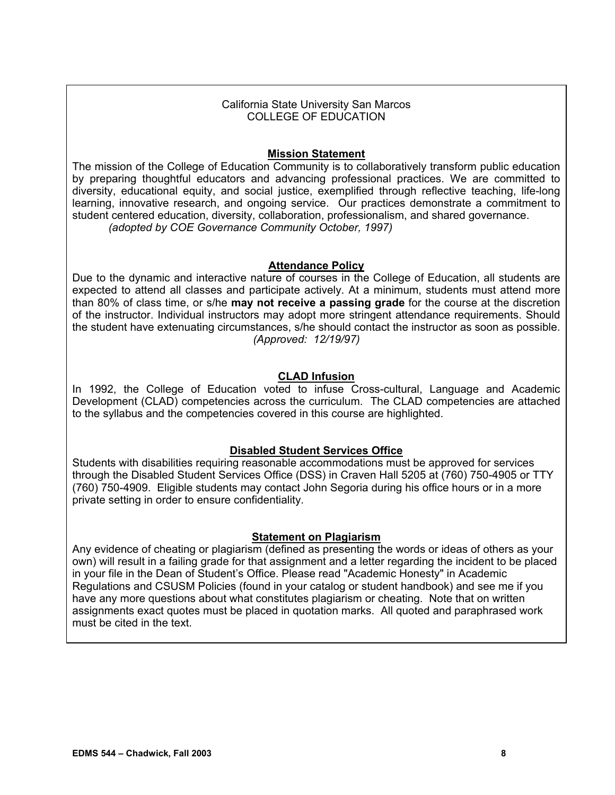## California State University San Marcos COLLEGE OF EDUCATION

## **Mission Statement**

The mission of the College of Education Community is to collaboratively transform public education by preparing thoughtful educators and advancing professional practices. We are committed to diversity, educational equity, and social justice, exemplified through reflective teaching, life-long learning, innovative research, and ongoing service. Our practices demonstrate a commitment to student centered education, diversity, collaboration, professionalism, and shared governance. *(adopted by COE Governance Community October, 1997)*

## **Attendance Policy**

Due to the dynamic and interactive nature of courses in the College of Education, all students are expected to attend all classes and participate actively. At a minimum, students must attend more than 80% of class time, or s/he **may not receive a passing grade** for the course at the discretion of the instructor. Individual instructors may adopt more stringent attendance requirements. Should the student have extenuating circumstances, s/he should contact the instructor as soon as possible. *(Approved: 12/19/97)*

## **CLAD Infusion**

In 1992, the College of Education voted to infuse Cross-cultural, Language and Academic Development (CLAD) competencies across the curriculum. The CLAD competencies are attached to the syllabus and the competencies covered in this course are highlighted.

## **Disabled Student Services Office**

Students with disabilities requiring reasonable accommodations must be approved for services through the Disabled Student Services Office (DSS) in Craven Hall 5205 at (760) 750-4905 or TTY (760) 750-4909. Eligible students may contact John Segoria during his office hours or in a more private setting in order to ensure confidentiality.

## **Statement on Plagiarism**

Any evidence of cheating or plagiarism (defined as presenting the words or ideas of others as your own) will result in a failing grade for that assignment and a letter regarding the incident to be placed in your file in the Dean of Student's Office. Please read "Academic Honesty" in Academic Regulations and CSUSM Policies (found in your catalog or student handbook) and see me if you have any more questions about what constitutes plagiarism or cheating. Note that on written assignments exact quotes must be placed in quotation marks. All quoted and paraphrased work must be cited in the text.